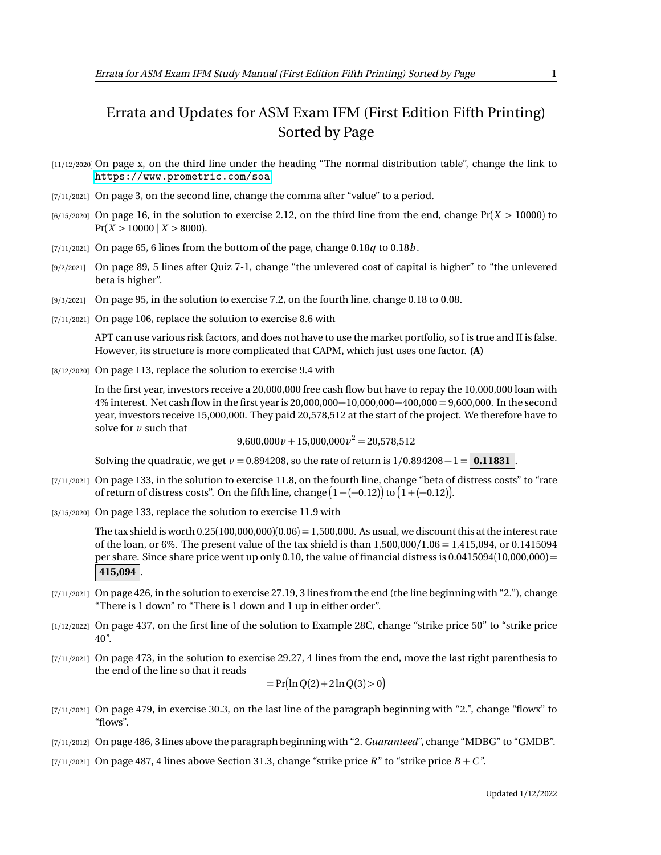## Errata and Updates for ASM Exam IFM (First Edition Fifth Printing) Sorted by Page

- [11/12/2020] On page x, on the third line under the heading "The normal distribution table", change the link to <https://www.prometric.com/soa>.
- [7/11/2021] On page 3, on the second line, change the comma after "value" to a period.
- [6/15/2020] On page 16, in the solution to exercise 2.12, on the third line from the end, change Pr(*X >* 10000) to  $Pr(X > 10000 \mid X > 8000)$ .
- $[7/11/2021]$  On page 65, 6 lines from the bottom of the page, change 0.18*q* to 0.18*b*.
- [9/2/2021] On page 89, 5 lines after Quiz 7-1, change "the unlevered cost of capital is higher" to "the unlevered beta is higher".
- [9/3/2021] On page 95, in the solution to exercise 7.2, on the fourth line, change 0.18 to 0.08.
- [7/11/2021] On page 106, replace the solution to exercise 8.6 with

APT can use various risk factors, and does not have to use the market portfolio, so I is true and II is false. However, its structure is more complicated that CAPM, which just uses one factor. **(A)**

[8/12/2020] On page 113, replace the solution to exercise 9.4 with

In the first year, investors receive a 20,000,000 free cash flow but have to repay the 10,000,000 loan with 4% interest. Net cash flow in the first year is 20,000,000−10,000,000−400,000 = 9,600,000. In the second year, investors receive 15,000,000. They paid 20,578,512 at the start of the project. We therefore have to solve for *v* such that

 $9,600,000 \nu + 15,000,000 \nu^2 = 20,578,512$ 

Solving the quadratic, we get  $\nu = 0.894208$ , so the rate of return is  $1/0.894208 - 1 = 0.11831$ .

- [7/11/2021] On page 133, in the solution to exercise 11.8, on the fourth line, change "beta of distress costs" to "rate of return of distress costs". On the fifth line, change  $(1 - (-0.12))$  to  $(1 + (-0.12))$ .
- [3/15/2020] On page 133, replace the solution to exercise 11.9 with

The tax shield is worth  $0.25(100,000,000)(0.06) = 1,500,000$ . As usual, we discount this at the interest rate of the loan, or 6%. The present value of the tax shield is than 1,500,000*/*1.06 = 1,415,094, or 0.1415094 per share. Since share price went up only 0.10, the value of financial distress is 0.0415094(10,000,000) = 415,094

- [7/11/2021] On page 426, in the solution to exercise 27.19, 3 lines from the end (the line beginning with "2."), change "There is 1 down" to "There is 1 down and 1 up in either order".
- [1/12/2022] On page 437, on the first line of the solution to Example 28C, change "strike price 50" to "strike price 40".
- [7/11/2021] On page 473, in the solution to exercise 29.27, 4 lines from the end, move the last right parenthesis to the end of the line so that it reads

$$
= Pr(ln Q(2) + 2 ln Q(3) > 0)
$$

- [7/11/2021] On page 479, in exercise 30.3, on the last line of the paragraph beginning with "2.", change "flowx" to "flows".
- [7/11/2012] On page 486, 3 lines above the paragraph beginning with "2. *Guaranteed*", change "MDBG" to "GMDB".
- [7/11/2021] On page 487, 4 lines above Section 31.3, change "strike price  $R$ " to "strike price  $B + C$ ".